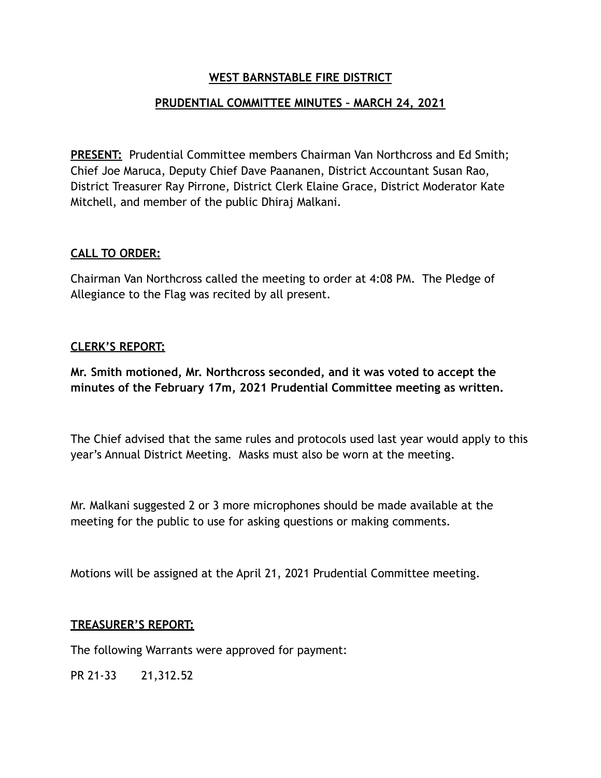## **WEST BARNSTABLE FIRE DISTRICT**

# **PRUDENTIAL COMMITTEE MINUTES – MARCH 24, 2021**

**PRESENT:** Prudential Committee members Chairman Van Northcross and Ed Smith; Chief Joe Maruca, Deputy Chief Dave Paananen, District Accountant Susan Rao, District Treasurer Ray Pirrone, District Clerk Elaine Grace, District Moderator Kate Mitchell, and member of the public Dhiraj Malkani.

#### **CALL TO ORDER:**

Chairman Van Northcross called the meeting to order at 4:08 PM. The Pledge of Allegiance to the Flag was recited by all present.

#### **CLERK'S REPORT:**

**Mr. Smith motioned, Mr. Northcross seconded, and it was voted to accept the minutes of the February 17m, 2021 Prudential Committee meeting as written.** 

The Chief advised that the same rules and protocols used last year would apply to this year's Annual District Meeting. Masks must also be worn at the meeting.

Mr. Malkani suggested 2 or 3 more microphones should be made available at the meeting for the public to use for asking questions or making comments.

Motions will be assigned at the April 21, 2021 Prudential Committee meeting.

#### **TREASURER'S REPORT:**

The following Warrants were approved for payment:

PR 21-33 21,312.52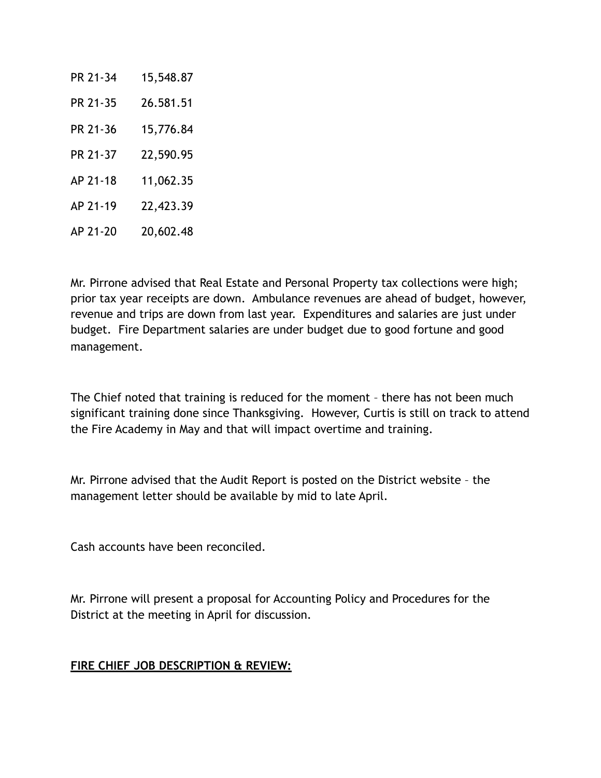| PR 21-34 | 15,548.87 |
|----------|-----------|
| PR 21-35 | 26.581.51 |
| PR 21-36 | 15,776.84 |
| PR 21-37 | 22,590.95 |
| AP 21-18 | 11,062.35 |
| AP 21-19 | 22,423.39 |
| AP 21-20 | 20,602.48 |

Mr. Pirrone advised that Real Estate and Personal Property tax collections were high; prior tax year receipts are down. Ambulance revenues are ahead of budget, however, revenue and trips are down from last year. Expenditures and salaries are just under budget. Fire Department salaries are under budget due to good fortune and good management.

The Chief noted that training is reduced for the moment – there has not been much significant training done since Thanksgiving. However, Curtis is still on track to attend the Fire Academy in May and that will impact overtime and training.

Mr. Pirrone advised that the Audit Report is posted on the District website – the management letter should be available by mid to late April.

Cash accounts have been reconciled.

Mr. Pirrone will present a proposal for Accounting Policy and Procedures for the District at the meeting in April for discussion.

## **FIRE CHIEF JOB DESCRIPTION & REVIEW:**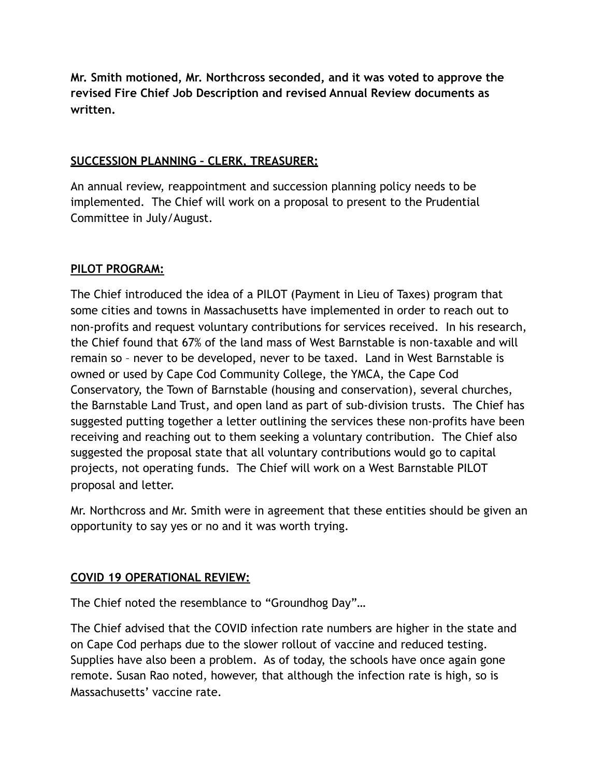**Mr. Smith motioned, Mr. Northcross seconded, and it was voted to approve the revised Fire Chief Job Description and revised Annual Review documents as written.** 

## **SUCCESSION PLANNING – CLERK, TREASURER:**

An annual review, reappointment and succession planning policy needs to be implemented. The Chief will work on a proposal to present to the Prudential Committee in July/August.

# **PILOT PROGRAM:**

The Chief introduced the idea of a PILOT (Payment in Lieu of Taxes) program that some cities and towns in Massachusetts have implemented in order to reach out to non-profits and request voluntary contributions for services received. In his research, the Chief found that 67% of the land mass of West Barnstable is non-taxable and will remain so – never to be developed, never to be taxed. Land in West Barnstable is owned or used by Cape Cod Community College, the YMCA, the Cape Cod Conservatory, the Town of Barnstable (housing and conservation), several churches, the Barnstable Land Trust, and open land as part of sub-division trusts. The Chief has suggested putting together a letter outlining the services these non-profits have been receiving and reaching out to them seeking a voluntary contribution. The Chief also suggested the proposal state that all voluntary contributions would go to capital projects, not operating funds. The Chief will work on a West Barnstable PILOT proposal and letter.

Mr. Northcross and Mr. Smith were in agreement that these entities should be given an opportunity to say yes or no and it was worth trying.

## **COVID 19 OPERATIONAL REVIEW:**

The Chief noted the resemblance to "Groundhog Day"…

The Chief advised that the COVID infection rate numbers are higher in the state and on Cape Cod perhaps due to the slower rollout of vaccine and reduced testing. Supplies have also been a problem. As of today, the schools have once again gone remote. Susan Rao noted, however, that although the infection rate is high, so is Massachusetts' vaccine rate.